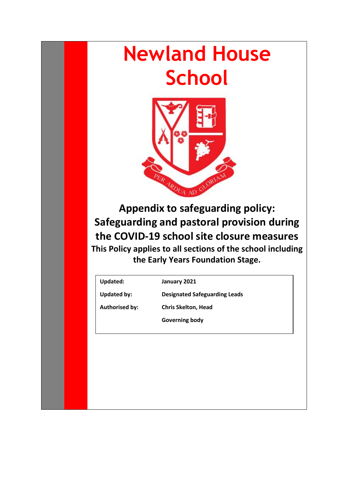# **Newland House School**



**Appendix to safeguarding policy: Safeguarding and pastoral provision during the COVID-19 school site closure measures This Policy applies to all sections of the school including the Early Years Foundation Stage.**

**Updated: January 2021**

**Updated by: Designated Safeguarding Leads**

**Authorised by: Chris Skelton, Head** 

**Governing body**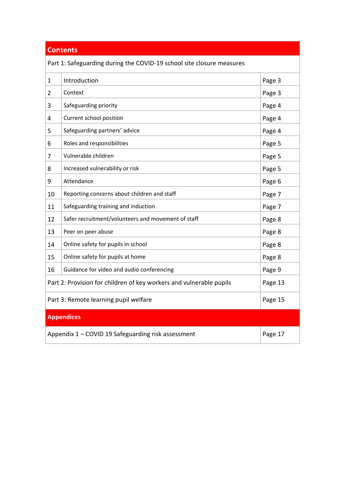## **Contents**

Part 1: Safeguarding during the COVID-19 school site closure measures

| 1                                                                              | Introduction                                       | Page 3 |  |  |
|--------------------------------------------------------------------------------|----------------------------------------------------|--------|--|--|
| $\overline{2}$                                                                 | Context                                            | Page 3 |  |  |
| 3                                                                              | Safeguarding priority                              | Page 4 |  |  |
| 4                                                                              | Current school position                            | Page 4 |  |  |
| 5                                                                              | Safeguarding partners' advice                      | Page 4 |  |  |
| 6                                                                              | Roles and responsibilities                         | Page 5 |  |  |
| 7                                                                              | Vulnerable children                                | Page 5 |  |  |
| 8                                                                              | Increased vulnerability or risk                    | Page 5 |  |  |
| 9                                                                              | Attendance                                         | Page 6 |  |  |
| 10                                                                             | Reporting concerns about children and staff        | Page 7 |  |  |
| 11                                                                             | Safeguarding training and induction                | Page 7 |  |  |
| 12                                                                             | Safer recruitment/volunteers and movement of staff | Page 8 |  |  |
| 13                                                                             | Peer on peer abuse                                 | Page 8 |  |  |
| 14                                                                             | Online safety for pupils in school                 | Page 8 |  |  |
| 15                                                                             | Online safety for pupils at home                   | Page 8 |  |  |
| 16                                                                             | Guidance for video and audio conferencing          | Page 9 |  |  |
| Part 2: Provision for children of key workers and vulnerable pupils<br>Page 13 |                                                    |        |  |  |
| Part 3: Remote learning pupil welfare                                          | Page 15                                            |        |  |  |
| <b>Appendices</b>                                                              |                                                    |        |  |  |
| Appendix 1 - COVID 19 Safeguarding risk assessment<br>Page 17                  |                                                    |        |  |  |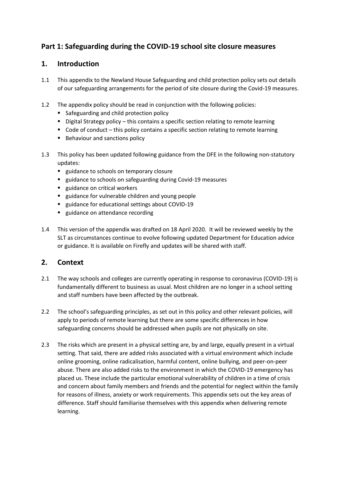## **Part 1: Safeguarding during the COVID-19 school site closure measures**

#### <span id="page-2-0"></span>**1. Introduction**

- 1.1 This appendix to the Newland House Safeguarding and child protection policy sets out details of our safeguarding arrangements for the period of site closure during the Covid-19 measures.
- 1.2 The appendix policy should be read in conjunction with the following policies:
	- Safeguarding and child protection policy
	- Digital Strategy policy this contains a specific section relating to remote learning
	- Code of conduct this policy contains a specific section relating to remote learning
	- Behaviour and sanctions policy
- 1.3 This policy has been updated following guidance from the DFE in the following non-statutory updates:
	- guidance to schools on temporary closure
	- guidance to schools on safeguarding during Covid-19 measures
	- guidance on critical workers
	- guidance for vulnerable children and young people
	- guidance for educational settings about COVID-19
	- guidance on attendance recording
- 1.4 This version of the appendix was drafted on 18 April 2020. It will be reviewed weekly by the SLT as circumstances continue to evolve following updated Department for Education advice or guidance. It is available on Firefly and updates will be shared with staff.

#### <span id="page-2-1"></span>**2. Context**

- 2.1 The way schools and colleges are currently operating in response to coronavirus (COVID-19) is fundamentally different to business as usual. Most children are no longer in a school setting and staff numbers have been affected by the outbreak.
- 2.2 The school's safeguarding principles, as set out in this policy and other relevant policies, will apply to periods of remote learning but there are some specific differences in how safeguarding concerns should be addressed when pupils are not physically on site.
- 2.3 The risks which are present in a physical setting are, by and large, equally present in a virtual setting. That said, there are added risks associated with a virtual environment which include online grooming, online radicalisation, harmful content, online bullying, and peer-on-peer abuse. There are also added risks to the environment in which the COVID-19 emergency has placed us. These include the particular emotional vulnerability of children in a time of crisis and concern about family members and friends and the potential for neglect within the family for reasons of illness, anxiety or work requirements. This appendix sets out the key areas of difference. Staff should familiarise themselves with this appendix when delivering remote learning.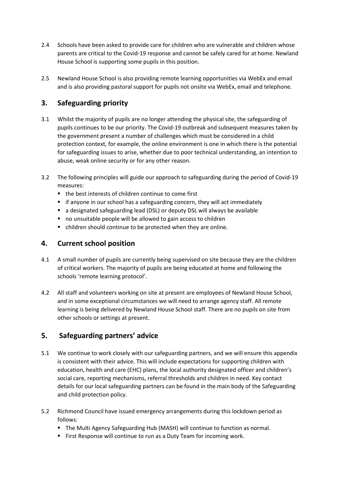- 2.4 Schools have been asked to provide care for children who are vulnerable and children whose parents are critical to the Covid-19 response and cannot be safely cared for at home. Newland House School is supporting some pupils in this position.
- 2.5 Newland House School is also providing remote learning opportunities via WebEx and email and is also providing pastoral support for pupils not onsite via WebEx, email and telephone.

## <span id="page-3-0"></span>**3. Safeguarding priority**

- 3.1 Whilst the majority of pupils are no longer attending the physical site, the safeguarding of pupils continues to be our priority. The Covid-19 outbreak and subsequent measures taken by the government present a number of challenges which must be considered in a child protection context, for example, the online environment is one in which there is the potential for safeguarding issues to arise, whether due to poor technical understanding, an intention to abuse, weak online security or for any other reason.
- 3.2 The following principles will guide our approach to safeguarding during the period of Covid-19 measures:
	- the best interests of children continue to come first
	- if anyone in our school has a safeguarding concern, they will act immediately
	- a designated safeguarding lead (DSL) or deputy DSL will always be available
	- no unsuitable people will be allowed to gain access to children
	- children should continue to be protected when they are online.

## <span id="page-3-1"></span>**4. Current school position**

- 4.1 A small number of pupils are currently being supervised on site because they are the children of critical workers. The majority of pupils are being educated at home and following the schools 'remote learning protocol'.
- 4.2 All staff and volunteers working on site at present are employees of Newland House School, and in some exceptional circumstances we will need to arrange agency staff. All remote learning is being delivered by Newland House School staff. There are no pupils on site from other schools or settings at present.

## <span id="page-3-2"></span>**5. Safeguarding partners' advice**

- 5.1 We continue to work closely with our safeguarding partners, and we will ensure this appendix is consistent with their advice. This will include expectations for supporting children with education, health and care (EHC) plans, the local authority designated officer and children's social care, reporting mechanisms, referral thresholds and children in need. Key contact details for our local safeguarding partners can be found in the main body of the Safeguarding and child protection policy.
- 5.2 Richmond Council have issued emergency arrangements during this lockdown period as follows:
	- The Multi Agency Safeguarding Hub (MASH) will continue to function as normal.
	- First Response will continue to run as a Duty Team for incoming work.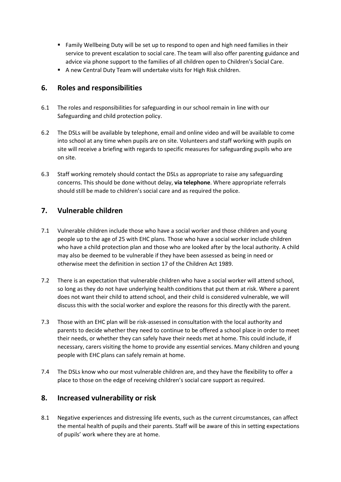- Family Wellbeing Duty will be set up to respond to open and high need families in their service to prevent escalation to social care. The team will also offer parenting guidance and advice via phone support to the families of all children open to Children's Social Care.
- A new Central Duty Team will undertake visits for High Risk children.

#### <span id="page-4-0"></span>**6. Roles and responsibilities**

- 6.1 The roles and responsibilities for safeguarding in our school remain in line with our Safeguarding and child protection policy.
- 6.2 The DSLs will be available by telephone, email and online video and will be available to come into school at any time when pupils are on site. Volunteers and staff working with pupils on site will receive a briefing with regards to specific measures for safeguarding pupils who are on site.
- 6.3 Staff working remotely should contact the DSLs as appropriate to raise any safeguarding concerns. This should be done without delay, **via telephone**. Where appropriate referrals should still be made to children's social care and as required the police.

#### <span id="page-4-1"></span>**7. Vulnerable children**

- 7.1 Vulnerable children include those who have a social worker and those children and young people up to the age of 25 with EHC plans. Those who have a social worker include children who have a child protection plan and those who are looked after by the local authority. A child may also be deemed to be vulnerable if they have been assessed as being in need or otherwise meet the definition in section 17 of the Children Act 1989.
- 7.2 There is an expectation that vulnerable children who have a social worker will attend school, so long as they do not have underlying health conditions that put them at risk. Where a parent does not want their child to attend school, and their child is considered vulnerable, we will discuss this with the social worker and explore the reasons for this directly with the parent.
- 7.3 Those with an EHC plan will be risk-assessed in consultation with the local authority and parents to decide whether they need to continue to be offered a school place in order to meet their needs, or whether they can safely have their needs met at home. This could include, if necessary, carers visiting the home to provide any essential services. Many children and young people with EHC plans can safely remain at home.
- 7.4 The DSLs know who our most vulnerable children are, and they have the flexibility to offer a place to those on the edge of receiving children's social care support as required.

#### <span id="page-4-2"></span>**8. Increased vulnerability or risk**

8.1 Negative experiences and distressing life events, such as the current circumstances, can affect the mental health of pupils and their parents. Staff will be aware of this in setting expectations of pupils' work where they are at home.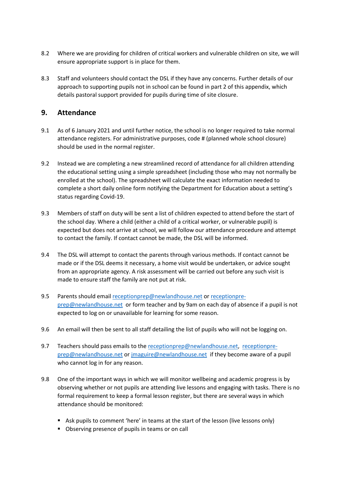- 8.2 Where we are providing for children of critical workers and vulnerable children on site, we will ensure appropriate support is in place for them.
- 8.3 Staff and volunteers should contact the DSL if they have any concerns. Further details of our approach to supporting pupils not in school can be found in part 2 of this appendix, which details pastoral support provided for pupils during time of site closure.

#### <span id="page-5-0"></span>**9. Attendance**

- 9.1 As of 6 January 2021 and until further notice, the school is no longer required to take normal attendance registers. For administrative purposes, code # (planned whole school closure) should be used in the normal register.
- 9.2 Instead we are completing a new streamlined record of attendance for all children attending the educational setting using a simple spreadsheet (including those who may not normally be enrolled at the school). The spreadsheet will calculate the exact information needed to complete a short daily online form notifying the Department for Education about a setting's status regarding Covid-19.
- 9.3 Members of staff on duty will be sent a list of children expected to attend before the start of the school day. Where a child (either a child of a critical worker, or vulnerable pupil) is expected but does not arrive at school, we will follow our attendance procedure and attempt to contact the family. If contact cannot be made, the DSL will be informed.
- 9.4 The DSL will attempt to contact the parents through various methods. If contact cannot be made or if the DSL deems it necessary, a home visit would be undertaken, or advice sought from an appropriate agency. A risk assessment will be carried out before any such visit is made to ensure staff the family are not put at risk.
- 9.5 Parents should emai[l receptionprep@newlandhouse.net](mailto:receptionprep@newlandhouse.net) or [receptionpre](mailto:receptionpre-prep@newlandhouse.net)[prep@newlandhouse.net](mailto:receptionpre-prep@newlandhouse.net) or form teacher and by 9am on each day of absence if a pupil is not expected to log on or unavailable for learning for some reason.
- 9.6 An email will then be sent to all staff detailing the list of pupils who will not be logging on.
- 9.7 Teachers should pass emails to the [receptionprep@newlandhouse.net,](mailto:receptionprep@newlandhouse.net) [receptionpre](mailto:receptionpre-prep@newlandhouse.net)[prep@newlandhouse.net](mailto:receptionpre-prep@newlandhouse.net) or [jmaguire@newlandhouse.net](mailto:jmaguire@newlandhouse.net) if they become aware of a pupil who cannot log in for any reason.
- 9.8 One of the important ways in which we will monitor wellbeing and academic progress is by observing whether or not pupils are attending live lessons and engaging with tasks. There is no formal requirement to keep a formal lesson register, but there are several ways in which attendance should be monitored:
	- Ask pupils to comment 'here' in teams at the start of the lesson (live lessons only)
	- Observing presence of pupils in teams or on call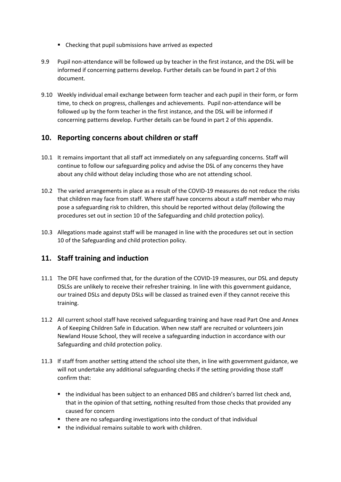- Checking that pupil submissions have arrived as expected
- 9.9 Pupil non-attendance will be followed up by teacher in the first instance, and the DSL will be informed if concerning patterns develop. Further details can be found in part 2 of this document.
- 9.10 Weekly individual email exchange between form teacher and each pupil in their form, or form time, to check on progress, challenges and achievements. Pupil non-attendance will be followed up by the form teacher in the first instance, and the DSL will be informed if concerning patterns develop. Further details can be found in part 2 of this appendix.

#### <span id="page-6-0"></span>**10. Reporting concerns about children or staff**

- 10.1 It remains important that all staff act immediately on any safeguarding concerns. Staff will continue to follow our safeguarding policy and advise the DSL of any concerns they have about any child without delay including those who are not attending school.
- 10.2 The varied arrangements in place as a result of the COVID-19 measures do not reduce the risks that children may face from staff. Where staff have concerns about a staff member who may pose a safeguarding risk to children, this should be reported without delay (following the procedures set out in section 10 of the Safeguarding and child protection policy).
- 10.3 Allegations made against staff will be managed in line with the procedures set out in section 10 of the Safeguarding and child protection policy.

### <span id="page-6-1"></span>**11. Staff training and induction**

- 11.1 The DFE have confirmed that, for the duration of the COVID-19 measures, our DSL and deputy DSLSs are unlikely to receive their refresher training. In line with this government guidance, our trained DSLs and deputy DSLs will be classed as trained even if they cannot receive this training.
- 11.2 All current school staff have received safeguarding training and have read Part One and Annex A of Keeping Children Safe in Education. When new staff are recruited or volunteers join Newland House School, they will receive a safeguarding induction in accordance with our Safeguarding and child protection policy.
- 11.3 If staff from another setting attend the school site then, in line with government guidance, we will not undertake any additional safeguarding checks if the setting providing those staff confirm that:
	- the individual has been subject to an enhanced DBS and children's barred list check and, that in the opinion of that setting, nothing resulted from those checks that provided any caused for concern
	- there are no safeguarding investigations into the conduct of that individual
	- the individual remains suitable to work with children.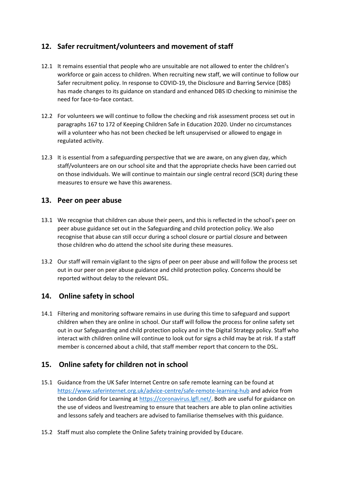## <span id="page-7-0"></span>**12. Safer recruitment/volunteers and movement of staff**

- 12.1 It remains essential that people who are unsuitable are not allowed to enter the children's workforce or gain access to children. When recruiting new staff, we will continue to follow our Safer recruitment policy. In response to COVID-19, the Disclosure and Barring Service (DBS) has made changes to its guidance on standard and enhanced DBS ID checking to minimise the need for face-to-face contact.
- 12.2 For volunteers we will continue to follow the checking and risk assessment process set out in paragraphs 167 to 172 of Keeping Children Safe in Education 2020. Under no circumstances will a volunteer who has not been checked be left unsupervised or allowed to engage in regulated activity.
- 12.3 It is essential from a safeguarding perspective that we are aware, on any given day, which staff/volunteers are on our school site and that the appropriate checks have been carried out on those individuals. We will continue to maintain our single central record (SCR) during these measures to ensure we have this awareness.

#### <span id="page-7-1"></span>**13. Peer on peer abuse**

- 13.1 We recognise that children can abuse their peers, and this is reflected in the school's peer on peer abuse guidance set out in the Safeguarding and child protection policy. We also recognise that abuse can still occur during a school closure or partial closure and between those children who do attend the school site during these measures.
- 13.2 Our staff will remain vigilant to the signs of peer on peer abuse and will follow the process set out in our peer on peer abuse guidance and child protection policy. Concerns should be reported without delay to the relevant DSL.

### <span id="page-7-2"></span>**14. Online safety in school**

14.1 Filtering and monitoring software remains in use during this time to safeguard and support children when they are online in school. Our staff will follow the process for online safety set out in our Safeguarding and child protection policy and in the Digital Strategy policy. Staff who interact with children online will continue to look out for signs a child may be at risk. If a staff member is concerned about a child, that staff member report that concern to the DSL.

### <span id="page-7-3"></span>**15. Online safety for children not in school**

- 15.1 Guidance from the UK Safer Internet Centre on safe remote learning can be found at <https://www.saferinternet.org.uk/advice-centre/safe-remote-learning-hub> and advice from the London Grid for Learning at [https://coronavirus.lgfl.net/.](https://coronavirus.lgfl.net/) Both are useful for guidance on the use of videos and livestreaming to ensure that teachers are able to plan online activities and lessons safely and teachers are advised to familiarise themselves with this guidance.
- 15.2 Staff must also complete the Online Safety training provided by Educare.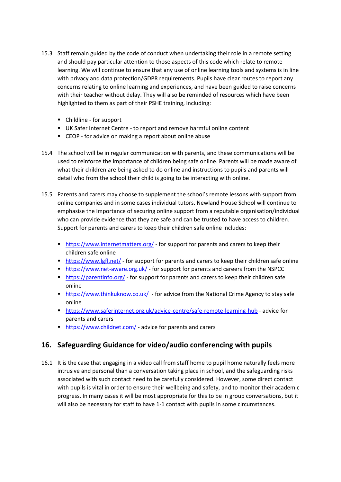- 15.3 Staff remain guided by the code of conduct when undertaking their role in a remote setting and should pay particular attention to those aspects of this code which relate to remote learning. We will continue to ensure that any use of online learning tools and systems is in line with privacy and data protection/GDPR requirements. Pupils have clear routes to report any concerns relating to online learning and experiences, and have been guided to raise concerns with their teacher without delay. They will also be reminded of resources which have been highlighted to them as part of their PSHE training, including:
	- Childline for support
	- UK Safer Internet Centre to report and remove harmful online content
	- CEOP for advice on making a report about online abuse
- 15.4 The school will be in regular communication with parents, and these communications will be used to reinforce the importance of children being safe online. Parents will be made aware of what their children are being asked to do online and instructions to pupils and parents will detail who from the school their child is going to be interacting with online.
- 15.5 Parents and carers may choose to supplement the school's remote lessons with support from online companies and in some cases individual tutors. Newland House School will continue to emphasise the importance of securing online support from a reputable organisation/individual who can provide evidence that they are safe and can be trusted to have access to children. Support for parents and carers to keep their children safe online includes:
	- <https://www.internetmatters.org/> for support for parents and carers to keep their children safe online
	- <https://www.lgfl.net/> for support for parents and carers to keep their children safe online
	- <https://www.net-aware.org.uk/> for support for parents and careers from the NSPCC
	- <https://parentinfo.org/> for support for parents and carers to keep their children safe online
	- <https://www.thinkuknow.co.uk/> for advice from the National Crime Agency to stay safe online
	- **<https://www.saferinternet.org.uk/advice-centre/safe-remote-learning-hub> advice for** parents and carers
	- <https://www.childnet.com/> advice for parents and carers

### <span id="page-8-0"></span>**16. Safeguarding Guidance for video/audio conferencing with pupils**

16.1 It is the case that engaging in a video call from staff home to pupil home naturally feels more intrusive and personal than a conversation taking place in school, and the safeguarding risks associated with such contact need to be carefully considered. However, some direct contact with pupils is vital in order to ensure their wellbeing and safety, and to monitor their academic progress. In many cases it will be most appropriate for this to be in group conversations, but it will also be necessary for staff to have 1-1 contact with pupils in some circumstances.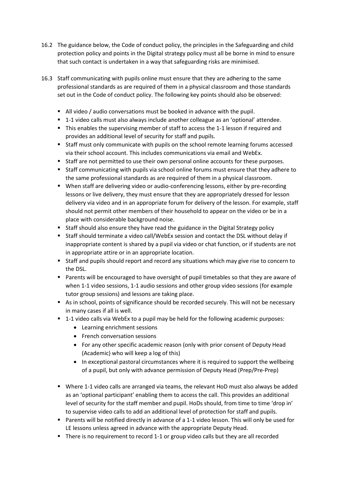- 16.2 The guidance below, the Code of conduct policy, the principles in the Safeguarding and child protection policy and points in the Digital strategy policy must all be borne in mind to ensure that such contact is undertaken in a way that safeguarding risks are minimised.
- 16.3 Staff communicating with pupils online must ensure that they are adhering to the same professional standards as are required of them in a physical classroom and those standards set out in the Code of conduct policy. The following key points should also be observed:
	- All video / audio conversations must be booked in advance with the pupil.
	- 1-1 video calls must also always include another colleague as an 'optional' attendee.
	- This enables the supervising member of staff to access the 1-1 lesson if required and provides an additional level of security for staff and pupils.
	- Staff must only communicate with pupils on the school remote learning forums accessed via their school account. This includes communications via email and WebEx.
	- Staff are not permitted to use their own personal online accounts for these purposes.
	- Staff communicating with pupils via school online forums must ensure that they adhere to the same professional standards as are required of them in a physical classroom.
	- When staff are delivering video or audio-conferencing lessons, either by pre-recording lessons or live delivery, they must ensure that they are appropriately dressed for lesson delivery via video and in an appropriate forum for delivery of the lesson. For example, staff should not permit other members of their household to appear on the video or be in a place with considerable background noise.
	- Staff should also ensure they have read the guidance in the Digital Strategy policy
	- Staff should terminate a video call/WebEx session and contact the DSL without delay if inappropriate content is shared by a pupil via video or chat function, or if students are not in appropriate attire or in an appropriate location.
	- Staff and pupils should report and record any situations which may give rise to concern to the DSL.
	- Parents will be encouraged to have oversight of pupil timetables so that they are aware of when 1-1 video sessions, 1-1 audio sessions and other group video sessions (for example tutor group sessions) and lessons are taking place.
	- As in school, points of significance should be recorded securely. This will not be necessary in many cases if all is well.
	- 1-1 video calls via WebEx to a pupil may be held for the following academic purposes:
		- Learning enrichment sessions
		- French conversation sessions
		- For any other specific academic reason (only with prior consent of Deputy Head (Academic) who will keep a log of this)
		- In exceptional pastoral circumstances where it is required to support the wellbeing of a pupil, but only with advance permission of Deputy Head (Prep/Pre-Prep)
	- Where 1-1 video calls are arranged via teams, the relevant HoD must also always be added as an 'optional participant' enabling them to access the call. This provides an additional level of security for the staff member and pupil. HoDs should, from time to time 'drop in' to supervise video calls to add an additional level of protection for staff and pupils.
	- Parents will be notified directly in advance of a 1-1 video lesson. This will only be used for LE lessons unless agreed in advance with the appropriate Deputy Head.
	- There is no requirement to record 1-1 or group video calls but they are all recorded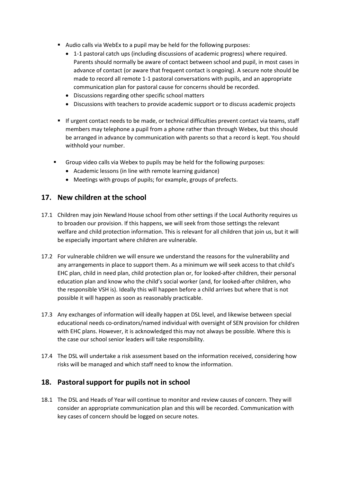- Audio calls via WebEx to a pupil may be held for the following purposes:
	- 1-1 pastoral catch ups (including discussions of academic progress) where required. Parents should normally be aware of contact between school and pupil, in most cases in advance of contact (or aware that frequent contact is ongoing). A secure note should be made to record all remote 1-1 pastoral conversations with pupils, and an appropriate communication plan for pastoral cause for concerns should be recorded.
	- Discussions regarding other specific school matters
	- Discussions with teachers to provide academic support or to discuss academic projects
- **■** If urgent contact needs to be made, or technical difficulties prevent contact via teams, staff members may telephone a pupil from a phone rather than through Webex, but this should be arranged in advance by communication with parents so that a record is kept. You should withhold your number.
- Group video calls via Webex to pupils may be held for the following purposes:
	- Academic lessons (in line with remote learning guidance)
	- Meetings with groups of pupils; for example, groups of prefects.

#### **17. New children at the school**

- 17.1 Children may join Newland House school from other settings if the Local Authority requires us to broaden our provision. If this happens, we will seek from those settings the relevant welfare and child protection information. This is relevant for all children that join us, but it will be especially important where children are vulnerable.
- 17.2 For vulnerable children we will ensure we understand the reasons for the vulnerability and any arrangements in place to support them. As a minimum we will seek access to that child's EHC plan, child in need plan, child protection plan or, for looked-after children, their personal education plan and know who the child's social worker (and, for looked-after children, who the responsible VSH is). Ideally this will happen before a child arrives but where that is not possible it will happen as soon as reasonably practicable.
- 17.3 Any exchanges of information will ideally happen at DSL level, and likewise between special educational needs co-ordinators/named individual with oversight of SEN provision for children with EHC plans. However, it is acknowledged this may not always be possible. Where this is the case our school senior leaders will take responsibility.
- 17.4 The DSL will undertake a risk assessment based on the information received, considering how risks will be managed and which staff need to know the information.

#### **18. Pastoralsupport for pupils not in school**

18.1 The DSL and Heads of Year will continue to monitor and review causes of concern. They will consider an appropriate communication plan and this will be recorded. Communication with key cases of concern should be logged on secure notes.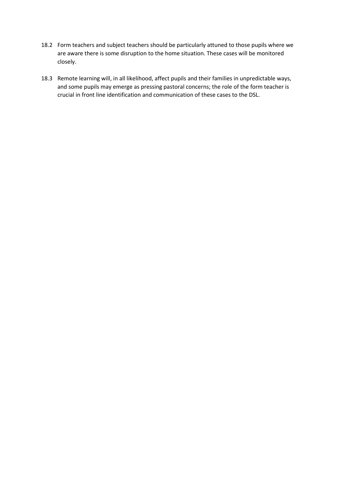- 18.2 Form teachers and subject teachers should be particularly attuned to those pupils where we are aware there is some disruption to the home situation. These cases will be monitored closely.
- 18.3 Remote learning will, in all likelihood, affect pupils and their families in unpredictable ways, and some pupils may emerge as pressing pastoral concerns; the role of the form teacher is crucial in front line identification and communication of these cases to the DSL.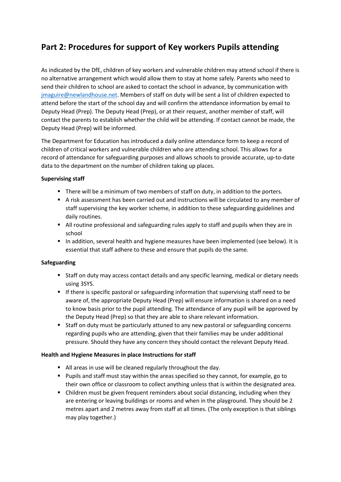# <span id="page-12-0"></span>**Part 2: Procedures for support of Key workers Pupils attending**

As indicated by the DfE, children of key workers and vulnerable children may attend school if there is no alternative arrangement which would allow them to stay at home safely. Parents who need to send their children to school are asked to contact the school in advance, by communication with [jmaguire@newlandhouse.net.](mailto:jmaguire@newlandhouse.net) Members of staff on duty will be sent a list of children expected to attend before the start of the school day and will confirm the attendance information by email to Deputy Head (Prep). The Deputy Head (Prep), or at their request, another member of staff, will contact the parents to establish whether the child will be attending. If contact cannot be made, the Deputy Head (Prep) will be informed.

The Department for Education has introduced a daily online attendance form to keep a record of children of critical workers and vulnerable children who are attending school. This allows for a record of attendance for safeguarding purposes and allows schools to provide accurate, up-to-date data to the department on the number of children taking up places.

#### **Supervising staff**

- There will be a minimum of two members of staff on duty, in addition to the porters.
- A risk assessment has been carried out and instructions will be circulated to any member of staff supervising the key worker scheme, in addition to these safeguarding guidelines and daily routines.
- All routine professional and safeguarding rules apply to staff and pupils when they are in school
- In addition, several health and hygiene measures have been implemented (see below). It is essential that staff adhere to these and ensure that pupils do the same.

#### **Safeguarding**

- Staff on duty may access contact details and any specific learning, medical or dietary needs using 3SYS.
- If there is specific pastoral or safeguarding information that supervising staff need to be aware of, the appropriate Deputy Head (Prep) will ensure information is shared on a need to know basis prior to the pupil attending. The attendance of any pupil will be approved by the Deputy Head (Prep) so that they are able to share relevant information.
- Staff on duty must be particularly attuned to any new pastoral or safeguarding concerns regarding pupils who are attending, given that their families may be under additional pressure. Should they have any concern they should contact the relevant Deputy Head.

#### **Health and Hygiene Measures in place Instructions for staff**

- All areas in use will be cleaned regularly throughout the day.
- Pupils and staff must stay within the areas specified so they cannot, for example, go to their own office or classroom to collect anything unless that is within the designated area.
- Children must be given frequent reminders about social distancing, including when they are entering or leaving buildings or rooms and when in the playground. They should be 2 metres apart and 2 metres away from staff at all times. (The only exception is that siblings may play together.)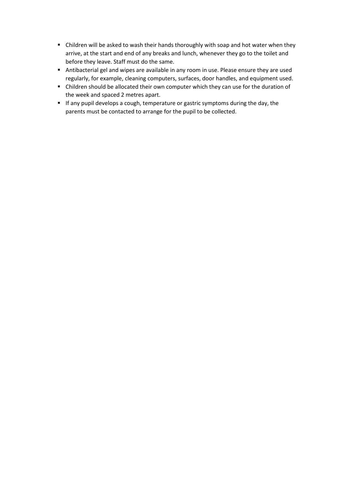- Children will be asked to wash their hands thoroughly with soap and hot water when they arrive, at the start and end of any breaks and lunch, whenever they go to the toilet and before they leave. Staff must do the same.
- Antibacterial gel and wipes are available in any room in use. Please ensure they are used regularly, for example, cleaning computers, surfaces, door handles, and equipment used.
- Children should be allocated their own computer which they can use for the duration of the week and spaced 2 metres apart.
- If any pupil develops a cough, temperature or gastric symptoms during the day, the parents must be contacted to arrange for the pupil to be collected.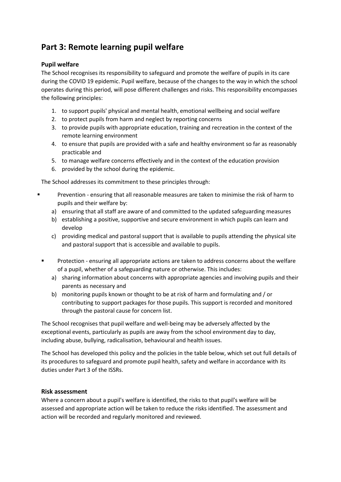# <span id="page-14-0"></span>**Part 3: Remote learning pupil welfare**

#### **Pupil welfare**

The School recognises its responsibility to safeguard and promote the welfare of pupils in its care during the COVID 19 epidemic. Pupil welfare, because of the changes to the way in which the school operates during this period, will pose different challenges and risks. This responsibility encompasses the following principles:

- 1. to support pupils' physical and mental health, emotional wellbeing and social welfare
- 2. to protect pupils from harm and neglect by reporting concerns
- 3. to provide pupils with appropriate education, training and recreation in the context of the remote learning environment
- 4. to ensure that pupils are provided with a safe and healthy environment so far as reasonably practicable and
- 5. to manage welfare concerns effectively and in the context of the education provision
- 6. provided by the school during the epidemic.

The School addresses its commitment to these principles through:

- Prevention ensuring that all reasonable measures are taken to minimise the risk of harm to pupils and their welfare by:
	- a) ensuring that all staff are aware of and committed to the updated safeguarding measures
	- b) establishing a positive, supportive and secure environment in which pupils can learn and develop
	- c) providing medical and pastoral support that is available to pupils attending the physical site and pastoral support that is accessible and available to pupils.
- **•** Protection ensuring all appropriate actions are taken to address concerns about the welfare of a pupil, whether of a safeguarding nature or otherwise. This includes:
	- a) sharing information about concerns with appropriate agencies and involving pupils and their parents as necessary and
	- b) monitoring pupils known or thought to be at risk of harm and formulating and / or contributing to support packages for those pupils. This support is recorded and monitored through the pastoral cause for concern list.

The School recognises that pupil welfare and well-being may be adversely affected by the exceptional events, particularly as pupils are away from the school environment day to day, including abuse, bullying, radicalisation, behavioural and health issues.

The School has developed this policy and the policies in the table below, which set out full details of its procedures to safeguard and promote pupil health, safety and welfare in accordance with its duties under Part 3 of the ISSRs.

#### **Risk assessment**

Where a concern about a pupil's welfare is identified, the risks to that pupil's welfare will be assessed and appropriate action will be taken to reduce the risks identified. The assessment and action will be recorded and regularly monitored and reviewed.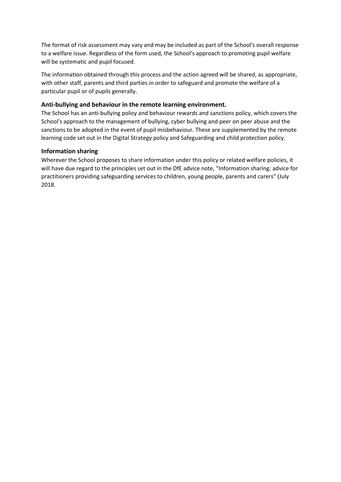The format of risk assessment may vary and may be included as part of the School's overall response to a welfare issue. Regardless of the form used, the School's approach to promoting pupil welfare will be systematic and pupil focused.

The information obtained through this process and the action agreed will be shared, as appropriate, with other staff, parents and third parties in order to safeguard and promote the welfare of a particular pupil or of pupils generally.

#### **Anti-bullying and behaviour in the remote learning environment.**

The School has an anti-bullying policy and behaviour rewards and sanctions policy, which covers the School's approach to the management of bullying, cyber bullying and peer on peer abuse and the sanctions to be adopted in the event of pupil misbehaviour. These are supplemented by the remote learning code set out in the Digital Strategy policy and Safeguarding and child protection policy.

#### **Information sharing**

Wherever the School proposes to share information under this policy or related welfare policies, it will have due regard to the principles set out in the DfE advice note, "Information sharing: advice for practitioners providing safeguarding services to children, young people, parents and carers" (July 2018.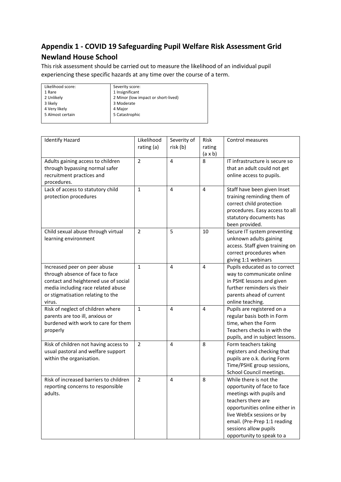## <span id="page-16-0"></span>**Appendix 1 - COVID 19 Safeguarding Pupil Welfare Risk Assessment Grid Newland House School**

This risk assessment should be carried out to measure the likelihood of an individual pupil experiencing these specific hazards at any time over the course of a term.

| Likelihood score: | Severity score:                     |  |  |  |
|-------------------|-------------------------------------|--|--|--|
| 1 Rare            | 1 Insignificant                     |  |  |  |
| 2 Unlikely        | 2 Minor (low impact or short-lived) |  |  |  |
| 3 likely          | 3 Moderate                          |  |  |  |
| 4 Very likely     | 4 Major                             |  |  |  |
| 5 Almost certain  | 5 Catastrophic                      |  |  |  |
|                   |                                     |  |  |  |

| <b>Identify Hazard</b>                                         | Likelihood     | Severity of    | Risk           | Control measures                                                                                                                                                     |
|----------------------------------------------------------------|----------------|----------------|----------------|----------------------------------------------------------------------------------------------------------------------------------------------------------------------|
|                                                                | rating (a)     | risk (b)       | rating         |                                                                                                                                                                      |
|                                                                |                |                | $(a \times b)$ |                                                                                                                                                                      |
| Adults gaining access to children                              | $\overline{2}$ | $\overline{4}$ | 8              | IT infrastructure is secure so                                                                                                                                       |
| through bypassing normal safer                                 |                |                |                | that an adult could not get                                                                                                                                          |
| recruitment practices and                                      |                |                |                | online access to pupils.                                                                                                                                             |
| procedures.                                                    |                |                |                |                                                                                                                                                                      |
| Lack of access to statutory child<br>protection procedures     | 1              | 4              | 4              | Staff have been given Inset<br>training reminding them of<br>correct child protection<br>procedures. Easy access to all<br>statutory documents has<br>been provided. |
| Child sexual abuse through virtual<br>learning environment     | $\overline{2}$ | 5              | 10             | Secure IT system preventing<br>unknown adults gaining<br>access. Staff given training on<br>correct procedures when<br>giving 1:1 webinars                           |
| Increased peer on peer abuse                                   | $\mathbf{1}$   | 4              | 4              | Pupils educated as to correct                                                                                                                                        |
| through absence of face to face                                |                |                |                | way to communicate online                                                                                                                                            |
| contact and heightened use of social                           |                |                |                | in PSHE lessons and given                                                                                                                                            |
| media including race related abuse                             |                |                |                | further reminders vis their                                                                                                                                          |
| or stigmatisation relating to the                              |                |                |                | parents ahead of current                                                                                                                                             |
| virus.                                                         |                |                |                | online teaching.                                                                                                                                                     |
| Risk of neglect of children where                              | $\mathbf 1$    | 4              | $\overline{4}$ | Pupils are registered on a                                                                                                                                           |
| parents are too ill, anxious or                                |                |                |                | regular basis both in Form                                                                                                                                           |
| burdened with work to care for them                            |                |                |                | time, when the Form                                                                                                                                                  |
| properly                                                       |                |                |                | Teachers checks in with the                                                                                                                                          |
|                                                                |                |                |                | pupils, and in subject lessons.                                                                                                                                      |
| Risk of children not having access to                          | $\overline{2}$ | 4              | 8              | Form teachers taking                                                                                                                                                 |
| usual pastoral and welfare support<br>within the organisation. |                |                |                | registers and checking that<br>pupils are o.k. during Form                                                                                                           |
|                                                                |                |                |                | Time/PSHE group sessions,                                                                                                                                            |
|                                                                |                |                |                | School Council meetings.                                                                                                                                             |
| Risk of increased barriers to children                         | $\overline{2}$ | $\overline{4}$ | 8              | While there is not the                                                                                                                                               |
| reporting concerns to responsible                              |                |                |                | opportunity of face to face                                                                                                                                          |
| adults.                                                        |                |                |                | meetings with pupils and                                                                                                                                             |
|                                                                |                |                |                | teachers there are                                                                                                                                                   |
|                                                                |                |                |                | opportunities online either in                                                                                                                                       |
|                                                                |                |                |                | live WebEx sessions or by                                                                                                                                            |
|                                                                |                |                |                | email. (Pre-Prep 1:1 reading                                                                                                                                         |
|                                                                |                |                |                | sessions allow pupils                                                                                                                                                |
|                                                                |                |                |                | opportunity to speak to a                                                                                                                                            |